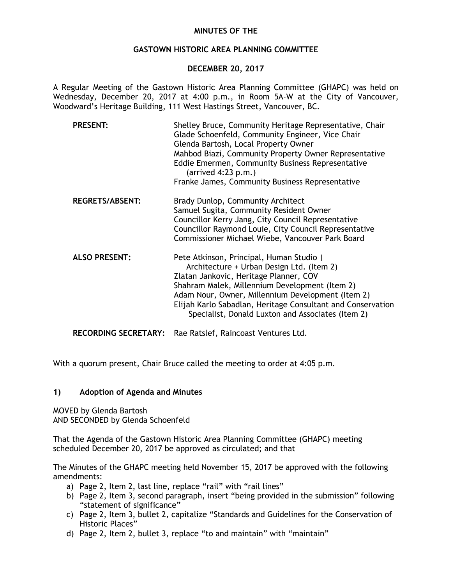## **MINUTES OF THE**

## **GASTOWN HISTORIC AREA PLANNING COMMITTEE**

## **DECEMBER 20, 2017**

A Regular Meeting of the Gastown Historic Area Planning Committee (GHAPC) was held on Wednesday, December 20, 2017 at 4:00 p.m., in Room 5A-W at the City of Vancouver, Woodward's Heritage Building, 111 West Hastings Street, Vancouver, BC.

| <b>PRESENT:</b>        | Shelley Bruce, Community Heritage Representative, Chair<br>Glade Schoenfeld, Community Engineer, Vice Chair<br>Glenda Bartosh, Local Property Owner<br>Mahbod Biazi, Community Property Owner Representative<br>Eddie Emermen, Community Business Representative<br>$(\text{arrived } 4:23 \text{ p.m.})$<br>Franke James, Community Business Representative |
|------------------------|--------------------------------------------------------------------------------------------------------------------------------------------------------------------------------------------------------------------------------------------------------------------------------------------------------------------------------------------------------------|
| <b>REGRETS/ABSENT:</b> | Brady Dunlop, Community Architect<br>Samuel Sugita, Community Resident Owner<br>Councillor Kerry Jang, City Council Representative<br>Councillor Raymond Louie, City Council Representative<br>Commissioner Michael Wiebe, Vancouver Park Board                                                                                                              |
| <b>ALSO PRESENT:</b>   | Pete Atkinson, Principal, Human Studio  <br>Architecture + Urban Design Ltd. (Item 2)<br>Zlatan Jankovic, Heritage Planner, COV<br>Shahram Malek, Millennium Development (Item 2)<br>Adam Nour, Owner, Millennium Development (Item 2)<br>Elijah Karlo Sabadlan, Heritage Consultant and Conservation<br>Specialist, Donald Luxton and Associates (Item 2)   |

**RECORDING SECRETARY:** Rae Ratslef, Raincoast Ventures Ltd.

With a quorum present, Chair Bruce called the meeting to order at 4:05 p.m.

# **1) Adoption of Agenda and Minutes**

MOVED by Glenda Bartosh AND SECONDED by Glenda Schoenfeld

That the Agenda of the Gastown Historic Area Planning Committee (GHAPC) meeting scheduled December 20, 2017 be approved as circulated; and that

The Minutes of the GHAPC meeting held November 15, 2017 be approved with the following amendments:

- a) Page 2, Item 2, last line, replace "rail" with "rail lines"
- b) Page 2, Item 3, second paragraph, insert "being provided in the submission" following "statement of significance"
- c) Page 2, Item 3, bullet 2, capitalize "Standards and Guidelines for the Conservation of Historic Places"
- d) Page 2, Item 2, bullet 3, replace "to and maintain" with "maintain"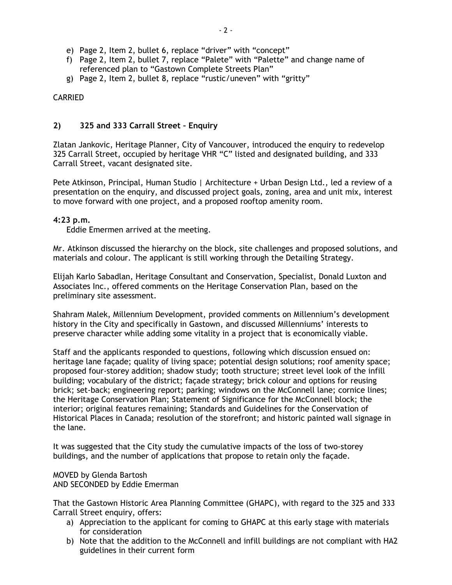- e) Page 2, Item 2, bullet 6, replace "driver" with "concept"
- f) Page 2, Item 2, bullet 7, replace "Palete" with "Palette" and change name of referenced plan to "Gastown Complete Streets Plan"
- g) Page 2, Item 2, bullet 8, replace "rustic/uneven" with "gritty"

## CARRIED

## **2) 325 and 333 Carrall Street – Enquiry**

Zlatan Jankovic, Heritage Planner, City of Vancouver, introduced the enquiry to redevelop 325 Carrall Street, occupied by heritage VHR "C" listed and designated building, and 333 Carrall Street, vacant designated site.

Pete Atkinson, Principal, Human Studio | Architecture + Urban Design Ltd., led a review of a presentation on the enquiry, and discussed project goals, zoning, area and unit mix, interest to move forward with one project, and a proposed rooftop amenity room.

#### **4:23 p.m.**

Eddie Emermen arrived at the meeting.

Mr. Atkinson discussed the hierarchy on the block, site challenges and proposed solutions, and materials and colour. The applicant is still working through the Detailing Strategy.

Elijah Karlo Sabadlan, Heritage Consultant and Conservation, Specialist, Donald Luxton and Associates Inc., offered comments on the Heritage Conservation Plan, based on the preliminary site assessment.

Shahram Malek, Millennium Development, provided comments on Millennium's development history in the City and specifically in Gastown, and discussed Millenniums' interests to preserve character while adding some vitality in a project that is economically viable.

Staff and the applicants responded to questions, following which discussion ensued on: heritage lane façade; quality of living space; potential design solutions; roof amenity space; proposed four-storey addition; shadow study; tooth structure; street level look of the infill building; vocabulary of the district; façade strategy; brick colour and options for reusing brick; set-back; engineering report; parking; windows on the McConnell lane; cornice lines; the Heritage Conservation Plan; Statement of Significance for the McConnell block; the interior; original features remaining; Standards and Guidelines for the Conservation of Historical Places in Canada; resolution of the storefront; and historic painted wall signage in the lane.

It was suggested that the City study the cumulative impacts of the loss of two-storey buildings, and the number of applications that propose to retain only the façade.

MOVED by Glenda Bartosh AND SECONDED by Eddie Emerman

That the Gastown Historic Area Planning Committee (GHAPC), with regard to the 325 and 333 Carrall Street enquiry, offers:

- a) Appreciation to the applicant for coming to GHAPC at this early stage with materials for consideration
- b) Note that the addition to the McConnell and infill buildings are not compliant with HA2 guidelines in their current form